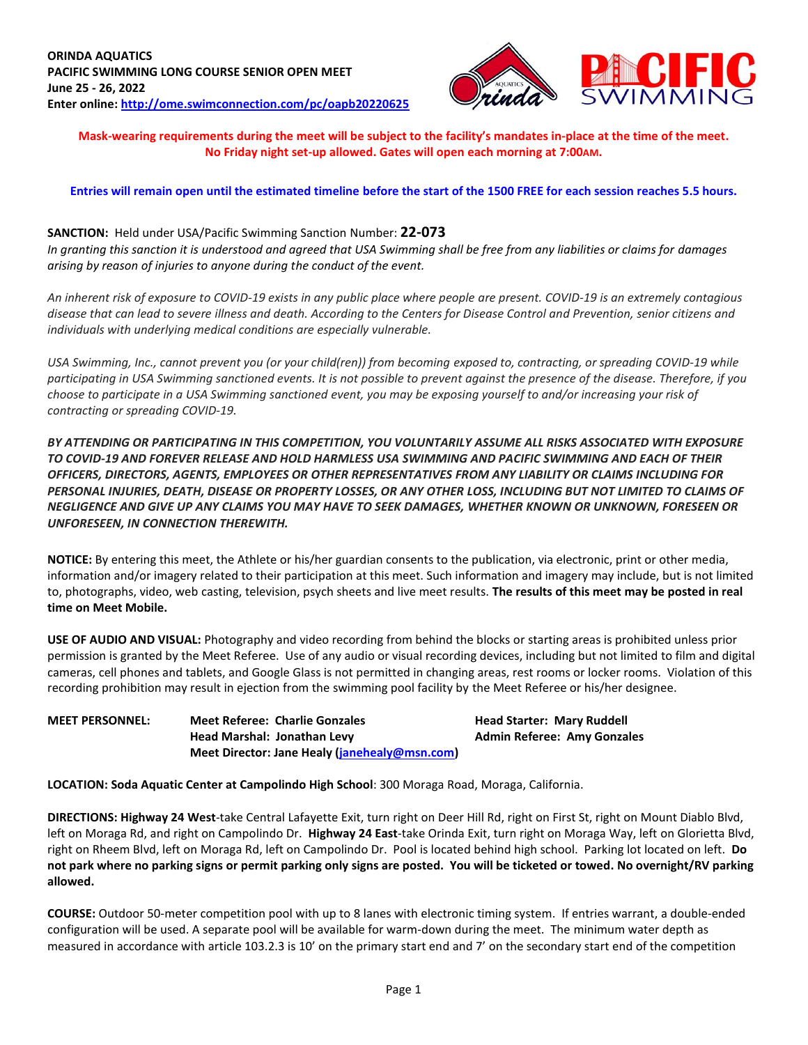

**Mask-wearing requirements during the meet will be subject to the facility's mandates in-place at the time of the meet. No Friday night set-up allowed. Gates will open each morning at 7:00AM.**

## **Entries will remain open until the estimated timeline before the start of the 1500 FREE for each session reaches 5.5 hours.**

## **SANCTION:** Held under USA/Pacific Swimming Sanction Number: **22-073**

*In granting this sanction it is understood and agreed that USA Swimming shall be free from any liabilities or claims for damages arising by reason of injuries to anyone during the conduct of the event.* 

*An inherent risk of exposure to COVID-19 exists in any public place where people are present. COVID-19 is an extremely contagious disease that can lead to severe illness and death. According to the Centers for Disease Control and Prevention, senior citizens and individuals with underlying medical conditions are especially vulnerable.*

*USA Swimming, Inc., cannot prevent you (or your child(ren)) from becoming exposed to, contracting, or spreading COVID-19 while participating in USA Swimming sanctioned events. It is not possible to prevent against the presence of the disease. Therefore, if you choose to participate in a USA Swimming sanctioned event, you may be exposing yourself to and/or increasing your risk of contracting or spreading COVID-19.*

*BY ATTENDING OR PARTICIPATING IN THIS COMPETITION, YOU VOLUNTARILY ASSUME ALL RISKS ASSOCIATED WITH EXPOSURE TO COVID-19 AND FOREVER RELEASE AND HOLD HARMLESS USA SWIMMING AND PACIFIC SWIMMING AND EACH OF THEIR OFFICERS, DIRECTORS, AGENTS, EMPLOYEES OR OTHER REPRESENTATIVES FROM ANY LIABILITY OR CLAIMS INCLUDING FOR PERSONAL INJURIES, DEATH, DISEASE OR PROPERTY LOSSES, OR ANY OTHER LOSS, INCLUDING BUT NOT LIMITED TO CLAIMS OF NEGLIGENCE AND GIVE UP ANY CLAIMS YOU MAY HAVE TO SEEK DAMAGES, WHETHER KNOWN OR UNKNOWN, FORESEEN OR UNFORESEEN, IN CONNECTION THEREWITH.*

**NOTICE:** By entering this meet, the Athlete or his/her guardian consents to the publication, via electronic, print or other media, information and/or imagery related to their participation at this meet. Such information and imagery may include, but is not limited to, photographs, video, web casting, television, psych sheets and live meet results. **The results of this meet may be posted in real time on Meet Mobile.**

**USE OF AUDIO AND VISUAL:** Photography and video recording from behind the blocks or starting areas is prohibited unless prior permission is granted by the Meet Referee. Use of any audio or visual recording devices, including but not limited to film and digital cameras, cell phones and tablets, and Google Glass is not permitted in changing areas, rest rooms or locker rooms. Violation of this recording prohibition may result in ejection from the swimming pool facility by the Meet Referee or his/her designee.

**MEET PERSONNEL: Meet Referee: Charlie Gonzales Head Starter: Mary Ruddell Head Marshal: Jonathan Levy Admin Referee: Amy Gonzales Meet Director: Jane Healy [\(janehealy@msn.com\)](mailto:janehealy@msn.com)**

**LOCATION: Soda Aquatic Center at Campolindo High School**: 300 Moraga Road, Moraga, California.

**DIRECTIONS: Highway 24 West**-take Central Lafayette Exit, turn right on Deer Hill Rd, right on First St, right on Mount Diablo Blvd, left on Moraga Rd, and right on Campolindo Dr. **Highway 24 East**-take Orinda Exit, turn right on Moraga Way, left on Glorietta Blvd, right on Rheem Blvd, left on Moraga Rd, left on Campolindo Dr. Pool is located behind high school. Parking lot located on left. **Do not park where no parking signs or permit parking only signs are posted. You will be ticketed or towed. No overnight/RV parking allowed.**

**COURSE:** Outdoor 50-meter competition pool with up to 8 lanes with electronic timing system. If entries warrant, a double-ended configuration will be used. A separate pool will be available for warm-down during the meet. The minimum water depth as measured in accordance with article 103.2.3 is 10' on the primary start end and 7' on the secondary start end of the competition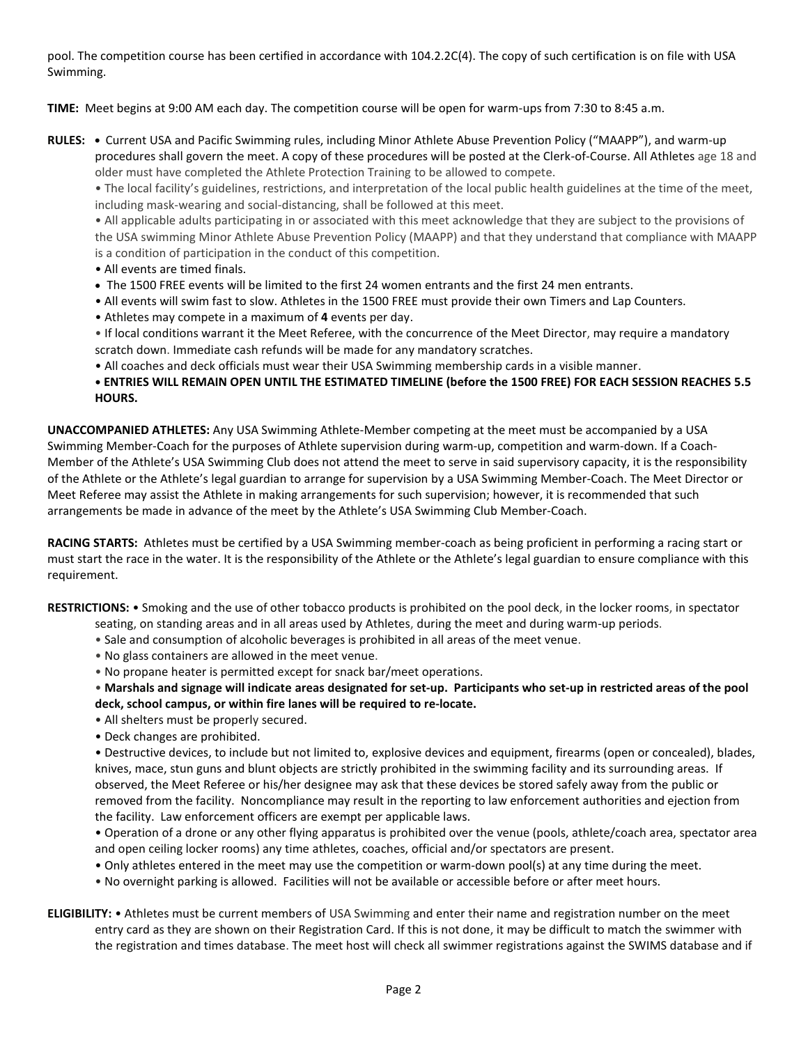pool. The competition course has been certified in accordance with 104.2.2C(4). The copy of such certification is on file with USA Swimming.

**TIME:** Meet begins at 9:00 AM each day. The competition course will be open for warm-ups from 7:30 to 8:45 a.m.

**RULES: •** Current USA and Pacific Swimming rules, including Minor Athlete Abuse Prevention Policy ("MAAPP"), and warm-up procedures shall govern the meet. A copy of these procedures will be posted at the Clerk-of-Course. All Athletes age 18 and older must have completed the Athlete Protection Training to be allowed to compete.

• The local facility's guidelines, restrictions, and interpretation of the local public health guidelines at the time of the meet, including mask-wearing and social-distancing, shall be followed at this meet.

• All applicable adults participating in or associated with this meet acknowledge that they are subject to the provisions of the USA swimming Minor Athlete Abuse Prevention Policy (MAAPP) and that they understand that compliance with MAAPP is a condition of participation in the conduct of this competition.

- All events are timed finals.
- The 1500 FREE events will be limited to the first 24 women entrants and the first 24 men entrants.
- All events will swim fast to slow. Athletes in the 1500 FREE must provide their own Timers and Lap Counters.
- Athletes may compete in a maximum of **4** events per day.
- If local conditions warrant it the Meet Referee, with the concurrence of the Meet Director, may require a mandatory scratch down. Immediate cash refunds will be made for any mandatory scratches.
- All coaches and deck officials must wear their USA Swimming membership cards in a visible manner.
- **• ENTRIES WILL REMAIN OPEN UNTIL THE ESTIMATED TIMELINE (before the 1500 FREE) FOR EACH SESSION REACHES 5.5 HOURS.**

**UNACCOMPANIED ATHLETES:** Any USA Swimming Athlete-Member competing at the meet must be accompanied by a USA Swimming Member-Coach for the purposes of Athlete supervision during warm-up, competition and warm-down. If a Coach-Member of the Athlete's USA Swimming Club does not attend the meet to serve in said supervisory capacity, it is the responsibility of the Athlete or the Athlete's legal guardian to arrange for supervision by a USA Swimming Member-Coach. The Meet Director or Meet Referee may assist the Athlete in making arrangements for such supervision; however, it is recommended that such arrangements be made in advance of the meet by the Athlete's USA Swimming Club Member-Coach.

**RACING STARTS:** Athletes must be certified by a USA Swimming member-coach as being proficient in performing a racing start or must start the race in the water. It is the responsibility of the Athlete or the Athlete's legal guardian to ensure compliance with this requirement.

**RESTRICTIONS:** • Smoking and the use of other tobacco products is prohibited on the pool deck, in the locker rooms, in spectator

- seating, on standing areas and in all areas used by Athletes, during the meet and during warm-up periods.
- Sale and consumption of alcoholic beverages is prohibited in all areas of the meet venue.
- No glass containers are allowed in the meet venue.
- No propane heater is permitted except for snack bar/meet operations.

• **Marshals and signage will indicate areas designated for set-up. Participants who set-up in restricted areas of the pool deck, school campus, or within fire lanes will be required to re-locate.** 

- All shelters must be properly secured.
- Deck changes are prohibited.

• Destructive devices, to include but not limited to, explosive devices and equipment, firearms (open or concealed), blades, knives, mace, stun guns and blunt objects are strictly prohibited in the swimming facility and its surrounding areas. If observed, the Meet Referee or his/her designee may ask that these devices be stored safely away from the public or removed from the facility. Noncompliance may result in the reporting to law enforcement authorities and ejection from the facility. Law enforcement officers are exempt per applicable laws.

• Operation of a drone or any other flying apparatus is prohibited over the venue (pools, athlete/coach area, spectator area and open ceiling locker rooms) any time athletes, coaches, official and/or spectators are present.

- Only athletes entered in the meet may use the competition or warm-down pool(s) at any time during the meet.
- No overnight parking is allowed. Facilities will not be available or accessible before or after meet hours.
- **ELIGIBILITY:** Athletes must be current members of USA Swimming and enter their name and registration number on the meet entry card as they are shown on their Registration Card. If this is not done, it may be difficult to match the swimmer with the registration and times database. The meet host will check all swimmer registrations against the SWIMS database and if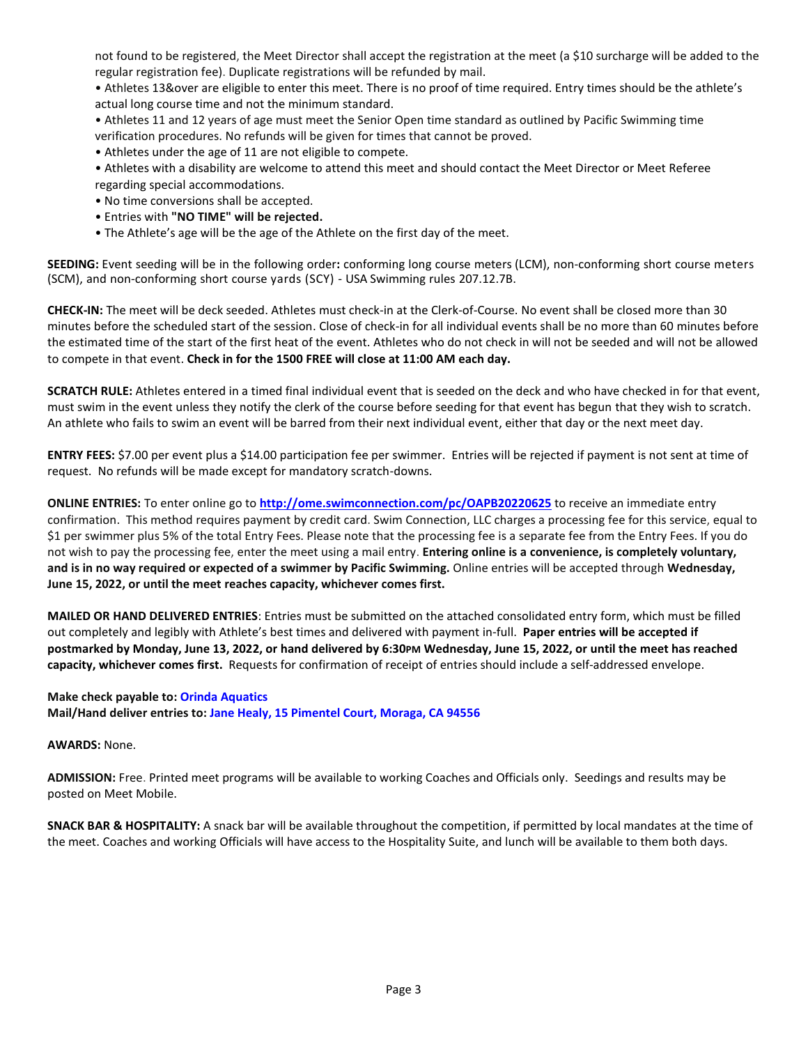not found to be registered, the Meet Director shall accept the registration at the meet (a \$10 surcharge will be added to the regular registration fee). Duplicate registrations will be refunded by mail.

• Athletes 13&over are eligible to enter this meet. There is no proof of time required. Entry times should be the athlete's actual long course time and not the minimum standard.

• Athletes 11 and 12 years of age must meet the Senior Open time standard as outlined by Pacific Swimming time verification procedures. No refunds will be given for times that cannot be proved.

- Athletes under the age of 11 are not eligible to compete.
- Athletes with a disability are welcome to attend this meet and should contact the Meet Director or Meet Referee regarding special accommodations.
- No time conversions shall be accepted.
- Entries with **"NO TIME" will be rejected.**
- The Athlete's age will be the age of the Athlete on the first day of the meet.

**SEEDING:** Event seeding will be in the following order**:** conforming long course meters (LCM), non-conforming short course meters (SCM), and non-conforming short course yards (SCY) - USA Swimming rules 207.12.7B.

**CHECK-IN:** The meet will be deck seeded. Athletes must check-in at the Clerk-of-Course. No event shall be closed more than 30 minutes before the scheduled start of the session. Close of check-in for all individual events shall be no more than 60 minutes before the estimated time of the start of the first heat of the event. Athletes who do not check in will not be seeded and will not be allowed to compete in that event. **Check in for the 1500 FREE will close at 11:00 AM each day.**

**SCRATCH RULE:** Athletes entered in a timed final individual event that is seeded on the deck and who have checked in for that event, must swim in the event unless they notify the clerk of the course before seeding for that event has begun that they wish to scratch. An athlete who fails to swim an event will be barred from their next individual event, either that day or the next meet day.

**ENTRY FEES:** \$7.00 per event plus a \$14.00 participation fee per swimmer. Entries will be rejected if payment is not sent at time of request. No refunds will be made except for mandatory scratch-downs.

**ONLINE ENTRIES:** To enter online go to **<http://ome.swimconnection.com/pc/OAPB20220625>** to receive an immediate entry confirmation. This method requires payment by credit card. Swim Connection, LLC charges a processing fee for this service, equal to \$1 per swimmer plus 5% of the total Entry Fees. Please note that the processing fee is a separate fee from the Entry Fees. If you do not wish to pay the processing fee, enter the meet using a mail entry. **Entering online is a convenience, is completely voluntary, and is in no way required or expected of a swimmer by Pacific Swimming.** Online entries will be accepted through **Wednesday, June 15, 2022, or until the meet reaches capacity, whichever comes first.**

**MAILED OR HAND DELIVERED ENTRIES**: Entries must be submitted on the attached consolidated entry form, which must be filled out completely and legibly with Athlete's best times and delivered with payment in-full. **Paper entries will be accepted if postmarked by Monday, June 13, 2022, or hand delivered by 6:30PM Wednesday, June 15, 2022, or until the meet has reached capacity, whichever comes first.** Requests for confirmation of receipt of entries should include a self-addressed envelope.

## **Make check payable to: Orinda Aquatics Mail/Hand deliver entries to: Jane Healy, 15 Pimentel Court, Moraga, CA 94556**

## **AWARDS:** None.

**ADMISSION:** Free. Printed meet programs will be available to working Coaches and Officials only. Seedings and results may be posted on Meet Mobile.

**SNACK BAR & HOSPITALITY:** A snack bar will be available throughout the competition, if permitted by local mandates at the time of the meet. Coaches and working Officials will have access to the Hospitality Suite, and lunch will be available to them both days.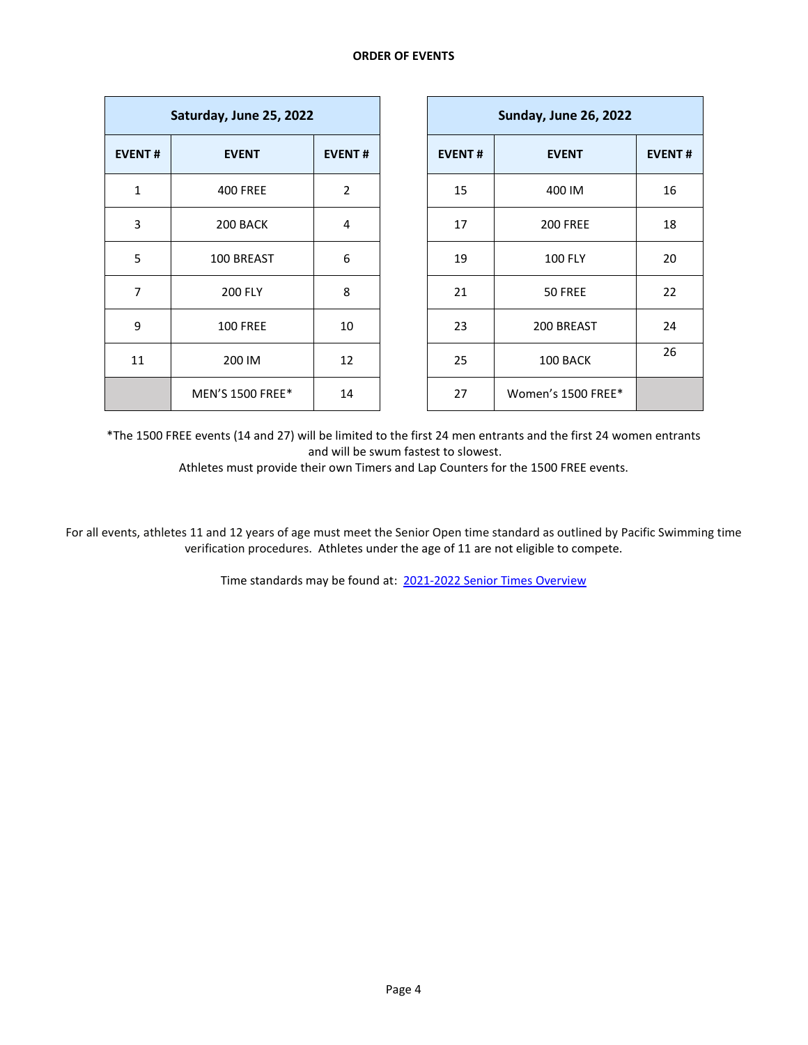| Saturday, June 25, 2022 |                         |                |  |  |  |
|-------------------------|-------------------------|----------------|--|--|--|
| <b>EVENT#</b>           | <b>EVENT</b>            | <b>EVENT#</b>  |  |  |  |
| 1                       | <b>400 FREE</b>         | $\overline{2}$ |  |  |  |
| 3                       | 200 BACK                | 4              |  |  |  |
| 5                       | 100 BREAST              | 6              |  |  |  |
| 7                       | <b>200 FLY</b>          | 8              |  |  |  |
| 9                       | <b>100 FREE</b>         | 10             |  |  |  |
| 11                      | 200 IM                  | 12             |  |  |  |
|                         | <b>MEN'S 1500 FREE*</b> | 14             |  |  |  |

\*The 1500 FREE events (14 and 27) will be limited to the first 24 men entrants and the first 24 women entrants and will be swum fastest to slowest.

Athletes must provide their own Timers and Lap Counters for the 1500 FREE events.

For all events, athletes 11 and 12 years of age must meet the Senior Open time standard as outlined by Pacific Swimming time verification procedures. Athletes under the age of 11 are not eligible to compete.

Time standards may be found at: [2021-2022 Senior Times Overview](https://www.pacswim.org/userfiles/cms/documents/1284/2021-22-sr.-time-overview-lcm-4.4.22.pdf)